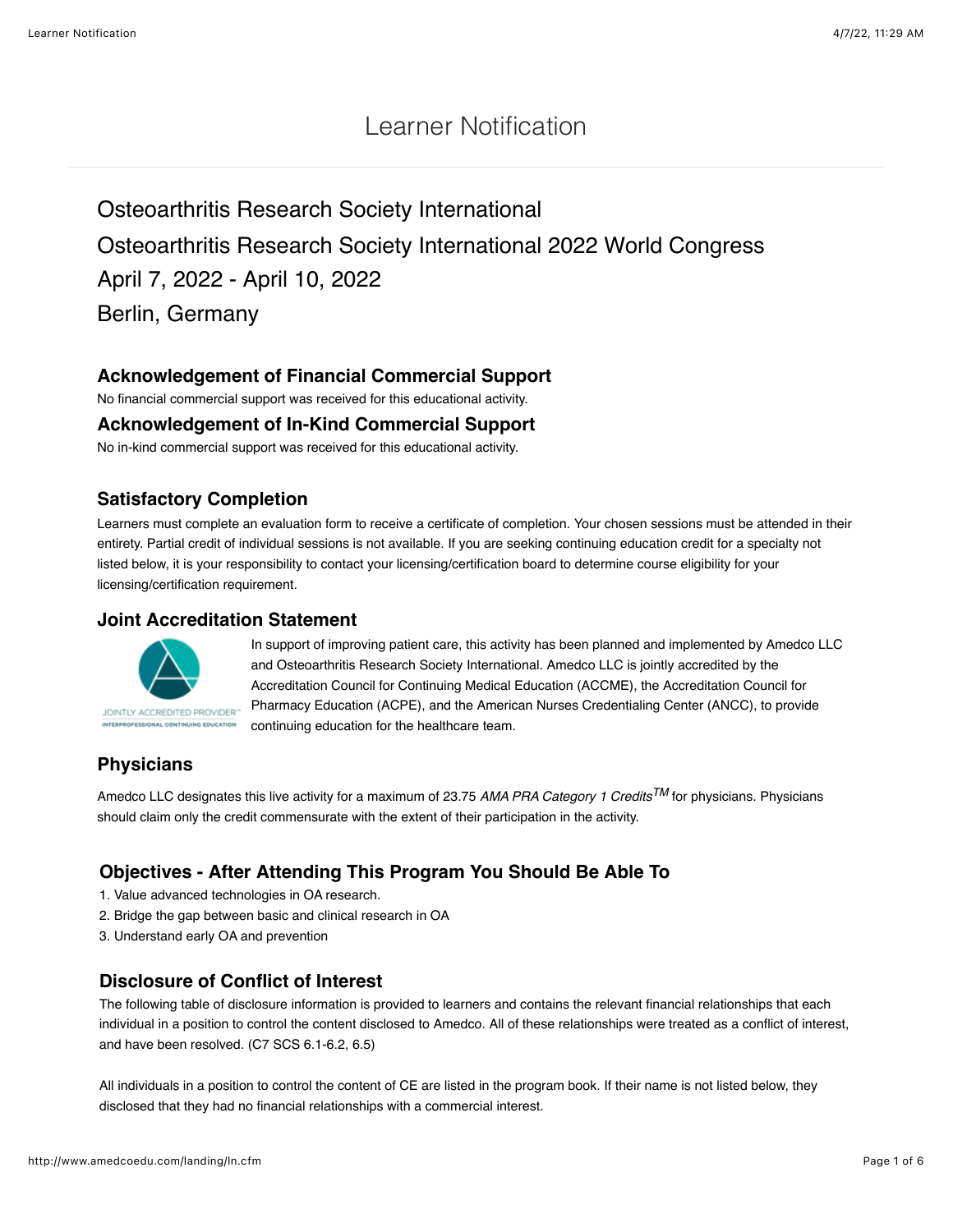## Learner Notification

# Osteoarthritis Research Society International Osteoarthritis Research Society International 2022 World Congress April 7, 2022 - April 10, 2022 Berlin, Germany

## **Acknowledgement of Financial Commercial Support**

No financial commercial support was received for this educational activity.

#### **Acknowledgement of In-Kind Commercial Support**

No in-kind commercial support was received for this educational activity.

#### **Satisfactory Completion**

Learners must complete an evaluation form to receive a certificate of completion. Your chosen sessions must be attended in their entirety. Partial credit of individual sessions is not available. If you are seeking continuing education credit for a specialty not listed below, it is your responsibility to contact your licensing/certification board to determine course eligibility for your licensing/certification requirement.

#### **Joint Accreditation Statement**



In support of improving patient care, this activity has been planned and implemented by Amedco LLC and Osteoarthritis Research Society International. Amedco LLC is jointly accredited by the Accreditation Council for Continuing Medical Education (ACCME), the Accreditation Council for Pharmacy Education (ACPE), and the American Nurses Credentialing Center (ANCC), to provide continuing education for the healthcare team.

## **Physicians**

Amedco LLC designates this live activity for a maximum of 23.75 *AMA PRA Category 1 CreditsTM* for physicians. Physicians should claim only the credit commensurate with the extent of their participation in the activity.

## **Objectives - After Attending This Program You Should Be Able To**

- 1. Value advanced technologies in OA research.
- 2. Bridge the gap between basic and clinical research in OA
- 3. Understand early OA and prevention

#### **Disclosure of Conflict of Interest**

The following table of disclosure information is provided to learners and contains the relevant financial relationships that each individual in a position to control the content disclosed to Amedco. All of these relationships were treated as a conflict of interest, and have been resolved. (C7 SCS 6.1-6.2, 6.5)

All individuals in a position to control the content of CE are listed in the program book. If their name is not listed below, they disclosed that they had no financial relationships with a commercial interest.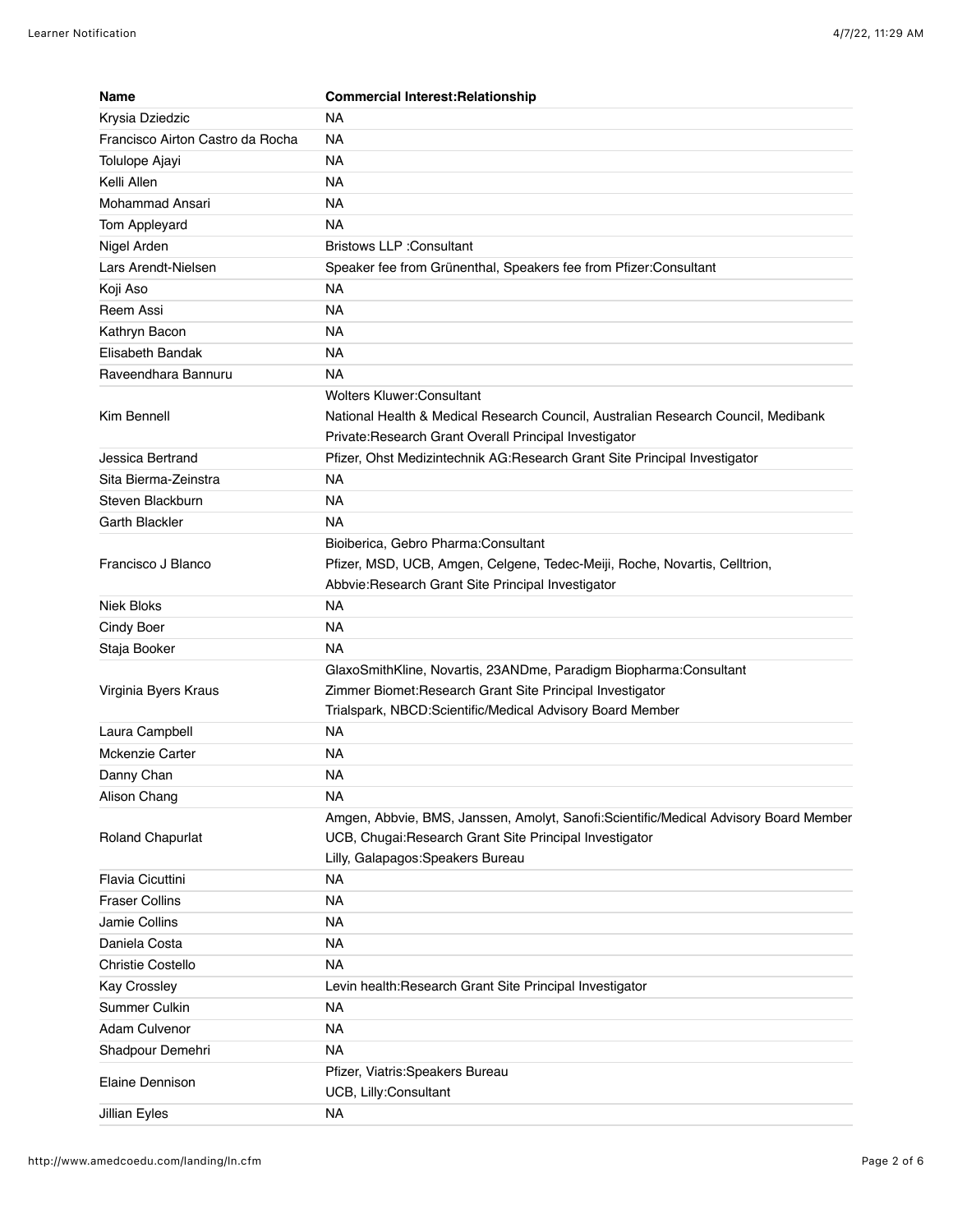| <b>Name</b>                      | <b>Commercial Interest: Relationship</b>                                                                                                       |
|----------------------------------|------------------------------------------------------------------------------------------------------------------------------------------------|
| Krysia Dziedzic                  | NA                                                                                                                                             |
| Francisco Airton Castro da Rocha | <b>NA</b>                                                                                                                                      |
| Tolulope Ajayi                   | NA                                                                                                                                             |
| Kelli Allen                      | <b>NA</b>                                                                                                                                      |
| Mohammad Ansari                  | <b>NA</b>                                                                                                                                      |
| Tom Appleyard                    | NA.                                                                                                                                            |
| Nigel Arden                      | <b>Bristows LLP: Consultant</b>                                                                                                                |
| Lars Arendt-Nielsen              | Speaker fee from Grünenthal, Speakers fee from Pfizer:Consultant                                                                               |
| Koji Aso                         | NA                                                                                                                                             |
| Reem Assi                        | NA                                                                                                                                             |
| Kathryn Bacon                    | <b>NA</b>                                                                                                                                      |
| Elisabeth Bandak                 | <b>NA</b>                                                                                                                                      |
| Raveendhara Bannuru              | NA.                                                                                                                                            |
|                                  | <b>Wolters Kluwer:Consultant</b>                                                                                                               |
| Kim Bennell                      | National Health & Medical Research Council, Australian Research Council, Medibank                                                              |
|                                  | Private: Research Grant Overall Principal Investigator                                                                                         |
| Jessica Bertrand                 | Pfizer, Ohst Medizintechnik AG:Research Grant Site Principal Investigator                                                                      |
| Sita Bierma-Zeinstra             | <b>NA</b>                                                                                                                                      |
| Steven Blackburn                 | <b>NA</b>                                                                                                                                      |
| Garth Blackler                   | NA                                                                                                                                             |
|                                  | Bioiberica, Gebro Pharma: Consultant                                                                                                           |
| Francisco J Blanco               | Pfizer, MSD, UCB, Amgen, Celgene, Tedec-Meiji, Roche, Novartis, Celltrion,                                                                     |
|                                  | Abbvie: Research Grant Site Principal Investigator                                                                                             |
| Niek Bloks                       | <b>NA</b>                                                                                                                                      |
| Cindy Boer                       | NA                                                                                                                                             |
| Staja Booker                     | <b>NA</b>                                                                                                                                      |
|                                  | GlaxoSmithKline, Novartis, 23ANDme, Paradigm Biopharma:Consultant                                                                              |
| Virginia Byers Kraus             | Zimmer Biomet: Research Grant Site Principal Investigator                                                                                      |
|                                  | Trialspark, NBCD:Scientific/Medical Advisory Board Member                                                                                      |
| Laura Campbell                   | NA                                                                                                                                             |
| <b>Mckenzie Carter</b>           | <b>NA</b>                                                                                                                                      |
| Danny Chan                       | NA                                                                                                                                             |
| Alison Chang                     | <b>NA</b>                                                                                                                                      |
| Roland Chapurlat                 | Amgen, Abbvie, BMS, Janssen, Amolyt, Sanofi:Scientific/Medical Advisory Board Member<br>UCB, Chugai:Research Grant Site Principal Investigator |
|                                  | Lilly, Galapagos: Speakers Bureau                                                                                                              |
| Flavia Cicuttini                 | <b>NA</b>                                                                                                                                      |
| <b>Fraser Collins</b>            | <b>NA</b>                                                                                                                                      |
| Jamie Collins                    | <b>NA</b>                                                                                                                                      |
| Daniela Costa                    | <b>NA</b>                                                                                                                                      |
| Christie Costello                | <b>NA</b>                                                                                                                                      |
| Kay Crossley                     | Levin health: Research Grant Site Principal Investigator                                                                                       |
| Summer Culkin                    | <b>NA</b>                                                                                                                                      |
| <b>Adam Culvenor</b>             | <b>NA</b>                                                                                                                                      |
| Shadpour Demehri                 | <b>NA</b>                                                                                                                                      |
|                                  | Pfizer, Viatris: Speakers Bureau                                                                                                               |
| Elaine Dennison                  | UCB, Lilly:Consultant                                                                                                                          |
| Jillian Eyles                    | <b>NA</b>                                                                                                                                      |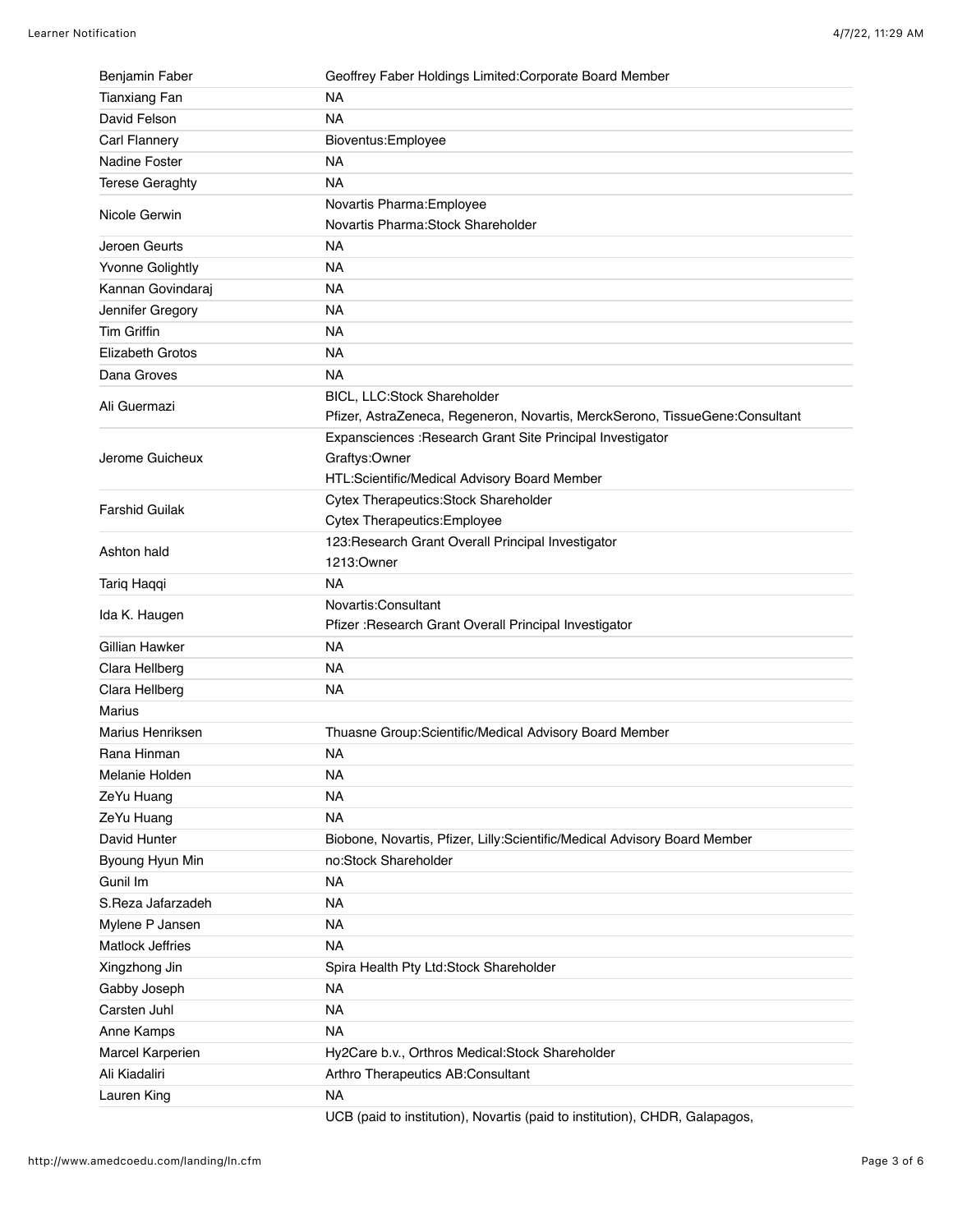| Benjamin Faber          | Geoffrey Faber Holdings Limited: Corporate Board Member                      |
|-------------------------|------------------------------------------------------------------------------|
| <b>Tianxiang Fan</b>    | <b>NA</b>                                                                    |
| David Felson            | <b>NA</b>                                                                    |
| Carl Flannery           | Bioventus: Employee                                                          |
| <b>Nadine Foster</b>    | <b>NA</b>                                                                    |
| <b>Terese Geraghty</b>  | <b>NA</b>                                                                    |
| Nicole Gerwin           | Novartis Pharma: Employee<br>Novartis Pharma: Stock Shareholder              |
| Jeroen Geurts           | <b>NA</b>                                                                    |
| <b>Yvonne Golightly</b> | <b>NA</b>                                                                    |
| Kannan Govindaraj       | <b>NA</b>                                                                    |
| Jennifer Gregory        | <b>NA</b>                                                                    |
| <b>Tim Griffin</b>      | <b>NA</b>                                                                    |
| Elizabeth Grotos        | <b>NA</b>                                                                    |
| Dana Groves             | <b>NA</b>                                                                    |
|                         | BICL, LLC:Stock Shareholder                                                  |
| Ali Guermazi            | Pfizer, AstraZeneca, Regeneron, Novartis, MerckSerono, TissueGene:Consultant |
|                         | Expansciences : Research Grant Site Principal Investigator                   |
| Jerome Guicheux         | Graftys:Owner                                                                |
|                         | HTL:Scientific/Medical Advisory Board Member                                 |
|                         | Cytex Therapeutics: Stock Shareholder                                        |
| <b>Farshid Guilak</b>   | Cytex Therapeutics: Employee                                                 |
|                         | 123: Research Grant Overall Principal Investigator                           |
| Ashton hald             | 1213:Owner                                                                   |
| Tariq Haqqi             | <b>NA</b>                                                                    |
|                         | Novartis:Consultant                                                          |
| Ida K. Haugen           | Pfizer : Research Grant Overall Principal Investigator                       |
| Gillian Hawker          | <b>NA</b>                                                                    |
| Clara Hellberg          | <b>NA</b>                                                                    |
| Clara Hellberg          | <b>NA</b>                                                                    |
| Marius                  |                                                                              |
| Marius Henriksen        | Thuasne Group:Scientific/Medical Advisory Board Member                       |
| Rana Hinman             | <b>NA</b>                                                                    |
| Melanie Holden          | <b>NA</b>                                                                    |
| ZeYu Huang              | <b>NA</b>                                                                    |
| ZeYu Huang              | <b>NA</b>                                                                    |
| David Hunter            | Biobone, Novartis, Pfizer, Lilly:Scientific/Medical Advisory Board Member    |
| Byoung Hyun Min         | no:Stock Shareholder                                                         |
| Gunil Im                | <b>NA</b>                                                                    |
| S.Reza Jafarzadeh       | <b>NA</b>                                                                    |
| Mylene P Jansen         | <b>NA</b>                                                                    |
| <b>Matlock Jeffries</b> | <b>NA</b>                                                                    |
| Xingzhong Jin           | Spira Health Pty Ltd:Stock Shareholder                                       |
| Gabby Joseph            | <b>NA</b>                                                                    |
| Carsten Juhl            | <b>NA</b>                                                                    |
| Anne Kamps              | <b>NA</b>                                                                    |
| Marcel Karperien        | Hy2Care b.v., Orthros Medical:Stock Shareholder                              |
| Ali Kiadaliri           | Arthro Therapeutics AB:Consultant                                            |
| Lauren King             | <b>NA</b>                                                                    |
|                         |                                                                              |

UCB (paid to institution), Novartis (paid to institution), CHDR, Galapagos,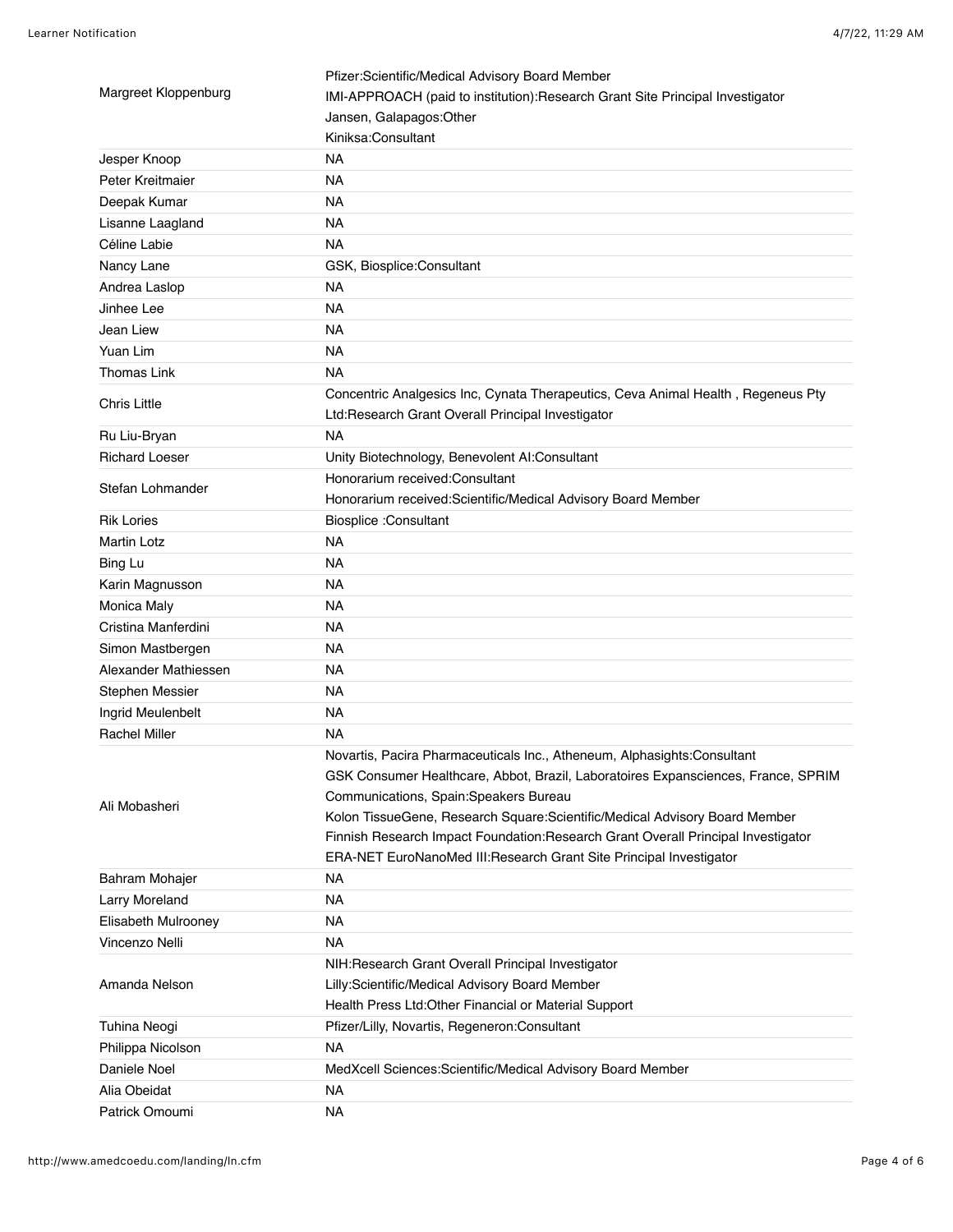| Margreet Kloppenburg  | Pfizer:Scientific/Medical Advisory Board Member                                   |
|-----------------------|-----------------------------------------------------------------------------------|
|                       | IMI-APPROACH (paid to institution): Research Grant Site Principal Investigator    |
|                       | Jansen, Galapagos:Other                                                           |
|                       | Kiniksa:Consultant                                                                |
| Jesper Knoop          | <b>NA</b>                                                                         |
| Peter Kreitmaier      | <b>NA</b>                                                                         |
| Deepak Kumar          | <b>NA</b>                                                                         |
| Lisanne Laagland      | <b>NA</b>                                                                         |
| Céline Labie          | <b>NA</b>                                                                         |
| Nancy Lane            | GSK, Biosplice:Consultant                                                         |
| Andrea Laslop         | <b>NA</b>                                                                         |
| Jinhee Lee            | <b>NA</b>                                                                         |
| Jean Liew             | <b>NA</b>                                                                         |
| Yuan Lim              | <b>NA</b>                                                                         |
| <b>Thomas Link</b>    | <b>NA</b>                                                                         |
|                       | Concentric Analgesics Inc, Cynata Therapeutics, Ceva Animal Health, Regeneus Pty  |
| <b>Chris Little</b>   | Ltd:Research Grant Overall Principal Investigator                                 |
| Ru Liu-Bryan          | <b>NA</b>                                                                         |
| <b>Richard Loeser</b> | Unity Biotechnology, Benevolent Al:Consultant                                     |
|                       | Honorarium received: Consultant                                                   |
| Stefan Lohmander      | Honorarium received:Scientific/Medical Advisory Board Member                      |
| <b>Rik Lories</b>     | <b>Biosplice : Consultant</b>                                                     |
| <b>Martin Lotz</b>    | <b>NA</b>                                                                         |
| Bing Lu               | <b>NA</b>                                                                         |
| Karin Magnusson       | NA.                                                                               |
| Monica Maly           | NA.                                                                               |
| Cristina Manferdini   | <b>NA</b>                                                                         |
| Simon Mastbergen      | NA                                                                                |
| Alexander Mathiessen  | NA.                                                                               |
| Stephen Messier       | <b>NA</b>                                                                         |
| Ingrid Meulenbelt     | <b>NA</b>                                                                         |
| <b>Rachel Miller</b>  | NA.                                                                               |
|                       | Novartis, Pacira Pharmaceuticals Inc., Atheneum, Alphasights:Consultant           |
| Ali Mobasheri         | GSK Consumer Healthcare, Abbot, Brazil, Laboratoires Expansciences, France, SPRIM |
|                       | Communications, Spain:Speakers Bureau                                             |
|                       | Kolon TissueGene, Research Square: Scientific/Medical Advisory Board Member       |
|                       | Finnish Research Impact Foundation: Research Grant Overall Principal Investigator |
|                       | ERA-NET EuroNanoMed III: Research Grant Site Principal Investigator               |
| Bahram Mohajer        | NA                                                                                |
| Larry Moreland        | <b>NA</b>                                                                         |
| Elisabeth Mulrooney   | <b>NA</b>                                                                         |
| Vincenzo Nelli        | <b>NA</b>                                                                         |
| Amanda Nelson         | NIH: Research Grant Overall Principal Investigator                                |
|                       | Lilly:Scientific/Medical Advisory Board Member                                    |
|                       | Health Press Ltd: Other Financial or Material Support                             |
| <b>Tuhina Neogi</b>   | Pfizer/Lilly, Novartis, Regeneron:Consultant                                      |
| Philippa Nicolson     | <b>NA</b>                                                                         |
| Daniele Noel          | MedXcell Sciences: Scientific/Medical Advisory Board Member                       |
| Alia Obeidat          | <b>NA</b>                                                                         |
| Patrick Omoumi        | <b>NA</b>                                                                         |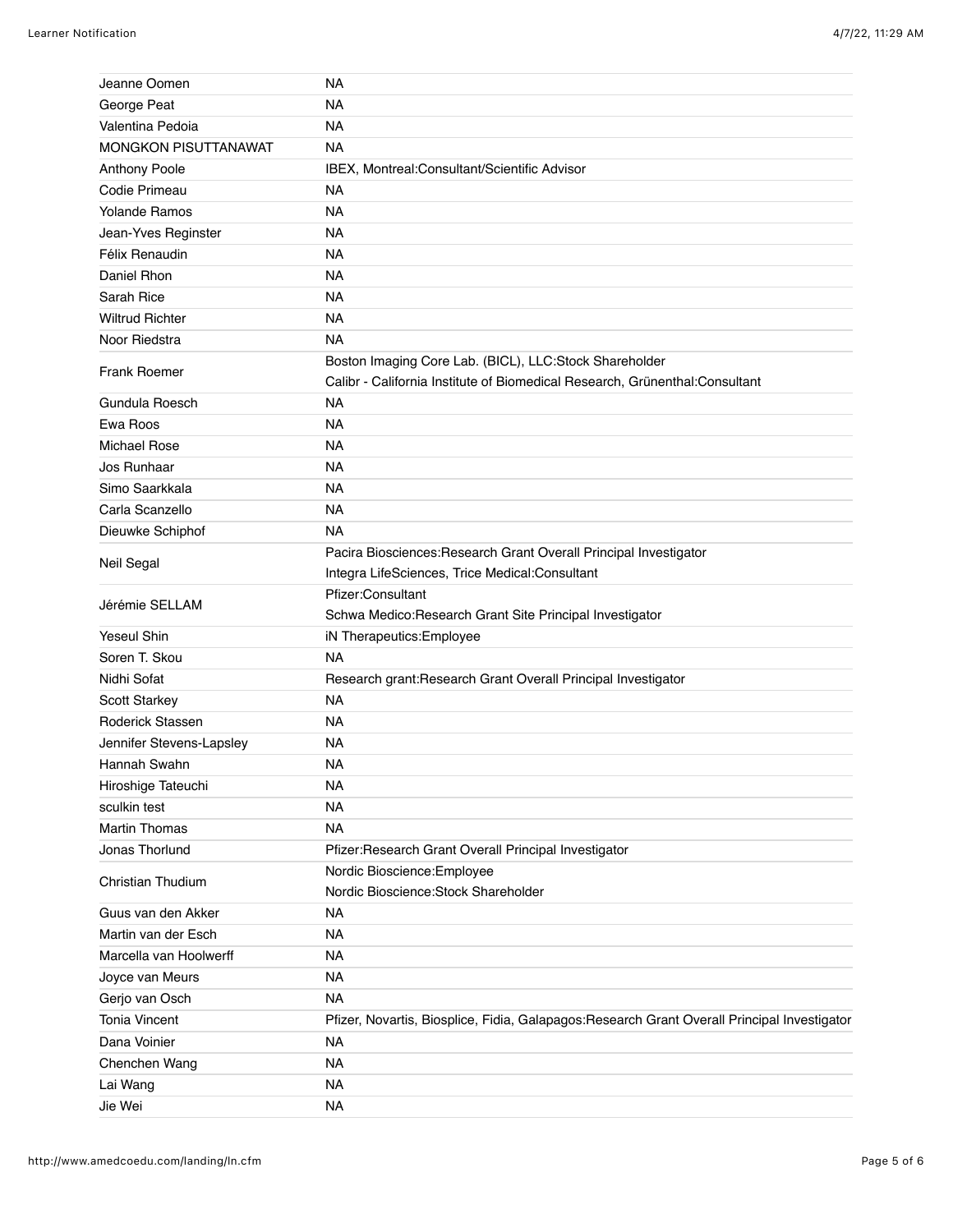| Jeanne Oomen                | NA                                                                                                                                    |
|-----------------------------|---------------------------------------------------------------------------------------------------------------------------------------|
| George Peat                 | <b>NA</b>                                                                                                                             |
| Valentina Pedoia            | <b>NA</b>                                                                                                                             |
| <b>MONGKON PISUTTANAWAT</b> | <b>NA</b>                                                                                                                             |
| Anthony Poole               | IBEX, Montreal:Consultant/Scientific Advisor                                                                                          |
| Codie Primeau               | <b>NA</b>                                                                                                                             |
| <b>Yolande Ramos</b>        | <b>NA</b>                                                                                                                             |
| Jean-Yves Reginster         | NA                                                                                                                                    |
| Félix Renaudin              | <b>NA</b>                                                                                                                             |
| Daniel Rhon                 | <b>NA</b>                                                                                                                             |
| Sarah Rice                  | <b>NA</b>                                                                                                                             |
| <b>Wiltrud Richter</b>      | <b>NA</b>                                                                                                                             |
| Noor Riedstra               | <b>NA</b>                                                                                                                             |
| <b>Frank Roemer</b>         | Boston Imaging Core Lab. (BICL), LLC:Stock Shareholder<br>Calibr - California Institute of Biomedical Research, Grünenthal:Consultant |
| Gundula Roesch              | <b>NA</b>                                                                                                                             |
| Ewa Roos                    | <b>NA</b>                                                                                                                             |
| Michael Rose                | <b>NA</b>                                                                                                                             |
| Jos Runhaar                 | <b>NA</b>                                                                                                                             |
| Simo Saarkkala              | <b>NA</b>                                                                                                                             |
| Carla Scanzello             | <b>NA</b>                                                                                                                             |
| Dieuwke Schiphof            | NA                                                                                                                                    |
| Neil Segal                  | Pacira Biosciences: Research Grant Overall Principal Investigator<br>Integra LifeSciences, Trice Medical:Consultant                   |
| Jérémie SELLAM              | Pfizer:Consultant<br>Schwa Medico:Research Grant Site Principal Investigator                                                          |
| <b>Yeseul Shin</b>          | iN Therapeutics: Employee                                                                                                             |
| Soren T. Skou               | <b>NA</b>                                                                                                                             |
| Nidhi Sofat                 | Research grant: Research Grant Overall Principal Investigator                                                                         |
| Scott Starkey               | <b>NA</b>                                                                                                                             |
| <b>Roderick Stassen</b>     | <b>NA</b>                                                                                                                             |
| Jennifer Stevens-Lapsley    | <b>NA</b>                                                                                                                             |
| Hannah Swahn                | NA                                                                                                                                    |
| Hiroshige Tateuchi          | <b>NA</b>                                                                                                                             |
| sculkin test                | <b>NA</b>                                                                                                                             |
| <b>Martin Thomas</b>        | <b>NA</b>                                                                                                                             |
| Jonas Thorlund              | Pfizer:Research Grant Overall Principal Investigator                                                                                  |
| Christian Thudium           | Nordic Bioscience: Employee<br>Nordic Bioscience: Stock Shareholder                                                                   |
| Guus van den Akker          | <b>NA</b>                                                                                                                             |
| Martin van der Esch         | <b>NA</b>                                                                                                                             |
| Marcella van Hoolwerff      | <b>NA</b>                                                                                                                             |
| Joyce van Meurs             | <b>NA</b>                                                                                                                             |
| Gerjo van Osch              | <b>NA</b>                                                                                                                             |
| <b>Tonia Vincent</b>        | Pfizer, Novartis, Biosplice, Fidia, Galapagos: Research Grant Overall Principal Investigator                                          |
| Dana Voinier                | <b>NA</b>                                                                                                                             |
| Chenchen Wang               | <b>NA</b>                                                                                                                             |
| Lai Wang                    | <b>NA</b>                                                                                                                             |
| Jie Wei                     | <b>NA</b>                                                                                                                             |